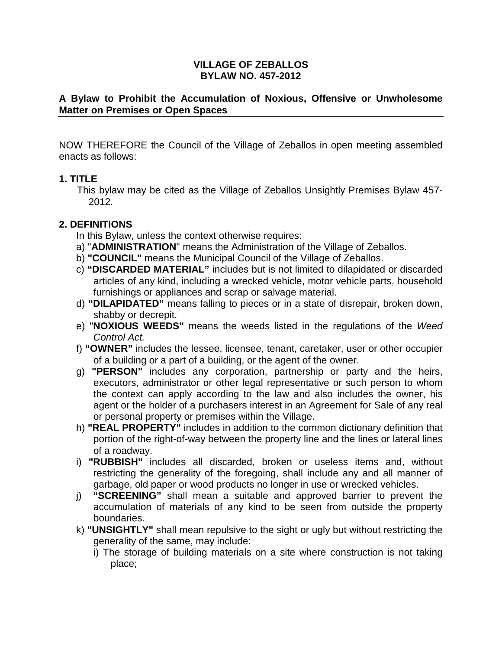### **VILLAGE OF ZEBALLOS BYLAW NO. 457-2012**

### **A Bylaw to Prohibit the Accumulation of Noxious, Offensive or Unwholesome Matter on Premises or Open Spaces**

NOW THEREFORE the Council of the Village of Zeballos in open meeting assembled enacts as follows:

### **1. TITLE**

This bylaw may be cited as the Village of Zeballos Unsightly Premises Bylaw 457- 2012.

# **2. DEFINITIONS**

In this Bylaw, unless the context otherwise requires:

- a) "**ADMINISTRATION**" means the Administration of the Village of Zeballos.
- b) **"COUNCIL"** means the Municipal Council of the Village of Zeballos.
- c) **"DISCARDED MATERIAL"** includes but is not limited to dilapidated or discarded articles of any kind, including a wrecked vehicle, motor vehicle parts, household furnishings or appliances and scrap or salvage material.
- d) **"DILAPIDATED"** means falling to pieces or in a state of disrepair, broken down, shabby or decrepit.
- e) "**NOXIOUS WEEDS"** means the weeds listed in the regulations of the Weed Control Act.
- f) **"OWNER"** includes the lessee, licensee, tenant, caretaker, user or other occupier of a building or a part of a building, or the agent of the owner.
- g) **"PERSON"** includes any corporation, partnership or party and the heirs, executors, administrator or other legal representative or such person to whom the context can apply according to the law and also includes the owner, his agent or the holder of a purchasers interest in an Agreement for Sale of any real or personal property or premises within the Village.
- h) **"REAL PROPERTY"** includes in addition to the common dictionary definition that portion of the right-of-way between the property line and the lines or lateral lines of a roadway.
- i) **"RUBBISH"** includes all discarded, broken or useless items and, without restricting the generality of the foregoing, shall include any and all manner of garbage, old paper or wood products no longer in use or wrecked vehicles.
- j) **"SCREENING"** shall mean a suitable and approved barrier to prevent the accumulation of materials of any kind to be seen from outside the property boundaries.
- k) **"UNSIGHTLY"** shall mean repulsive to the sight or ugly but without restricting the generality of the same, may include:
	- i) The storage of building materials on a site where construction is not taking place;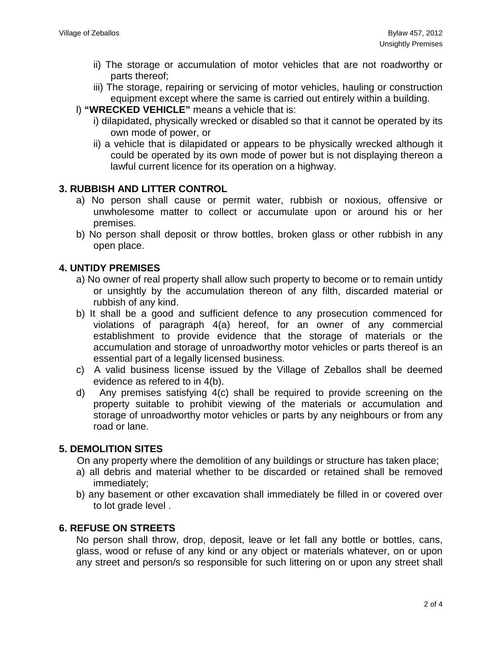- ii) The storage or accumulation of motor vehicles that are not roadworthy or parts thereof;
- iii) The storage, repairing or servicing of motor vehicles, hauling or construction equipment except where the same is carried out entirely within a building.
- l) **"WRECKED VEHICLE"** means a vehicle that is:
	- i) dilapidated, physically wrecked or disabled so that it cannot be operated by its own mode of power, or
	- ii) a vehicle that is dilapidated or appears to be physically wrecked although it could be operated by its own mode of power but is not displaying thereon a lawful current licence for its operation on a highway.

# **3. RUBBISH AND LITTER CONTROL**

- a) No person shall cause or permit water, rubbish or noxious, offensive or unwholesome matter to collect or accumulate upon or around his or her premises.
- b) No person shall deposit or throw bottles, broken glass or other rubbish in any open place.

# **4. UNTIDY PREMISES**

- a) No owner of real property shall allow such property to become or to remain untidy or unsightly by the accumulation thereon of any filth, discarded material or rubbish of any kind.
- b) It shall be a good and sufficient defence to any prosecution commenced for violations of paragraph 4(a) hereof, for an owner of any commercial establishment to provide evidence that the storage of materials or the accumulation and storage of unroadworthy motor vehicles or parts thereof is an essential part of a legally licensed business.
- c) A valid business license issued by the Village of Zeballos shall be deemed evidence as refered to in 4(b).
- d) Any premises satisfying 4(c) shall be required to provide screening on the property suitable to prohibit viewing of the materials or accumulation and storage of unroadworthy motor vehicles or parts by any neighbours or from any road or lane.

# **5. DEMOLITION SITES**

On any property where the demolition of any buildings or structure has taken place;

- a) all debris and material whether to be discarded or retained shall be removed immediately;
- b) any basement or other excavation shall immediately be filled in or covered over to lot grade level .

# **6. REFUSE ON STREETS**

No person shall throw, drop, deposit, leave or let fall any bottle or bottles, cans, glass, wood or refuse of any kind or any object or materials whatever, on or upon any street and person/s so responsible for such littering on or upon any street shall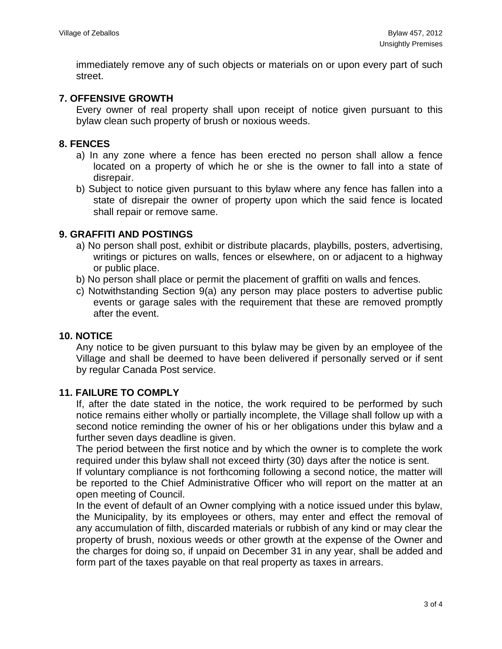immediately remove any of such objects or materials on or upon every part of such street.

# **7. OFFENSIVE GROWTH**

Every owner of real property shall upon receipt of notice given pursuant to this bylaw clean such property of brush or noxious weeds.

### **8. FENCES**

- a) In any zone where a fence has been erected no person shall allow a fence located on a property of which he or she is the owner to fall into a state of disrepair.
- b) Subject to notice given pursuant to this bylaw where any fence has fallen into a state of disrepair the owner of property upon which the said fence is located shall repair or remove same.

### **9. GRAFFITI AND POSTINGS**

- a) No person shall post, exhibit or distribute placards, playbills, posters, advertising, writings or pictures on walls, fences or elsewhere, on or adjacent to a highway or public place.
- b) No person shall place or permit the placement of graffiti on walls and fences.
- c) Notwithstanding Section 9(a) any person may place posters to advertise public events or garage sales with the requirement that these are removed promptly after the event.

#### **10. NOTICE**

Any notice to be given pursuant to this bylaw may be given by an employee of the Village and shall be deemed to have been delivered if personally served or if sent by regular Canada Post service.

#### **11. FAILURE TO COMPLY**

If, after the date stated in the notice, the work required to be performed by such notice remains either wholly or partially incomplete, the Village shall follow up with a second notice reminding the owner of his or her obligations under this bylaw and a further seven days deadline is given.

The period between the first notice and by which the owner is to complete the work required under this bylaw shall not exceed thirty (30) days after the notice is sent.

If voluntary compliance is not forthcoming following a second notice, the matter will be reported to the Chief Administrative Officer who will report on the matter at an open meeting of Council.

In the event of default of an Owner complying with a notice issued under this bylaw, the Municipality, by its employees or others, may enter and effect the removal of any accumulation of filth, discarded materials or rubbish of any kind or may clear the property of brush, noxious weeds or other growth at the expense of the Owner and the charges for doing so, if unpaid on December 31 in any year, shall be added and form part of the taxes payable on that real property as taxes in arrears.